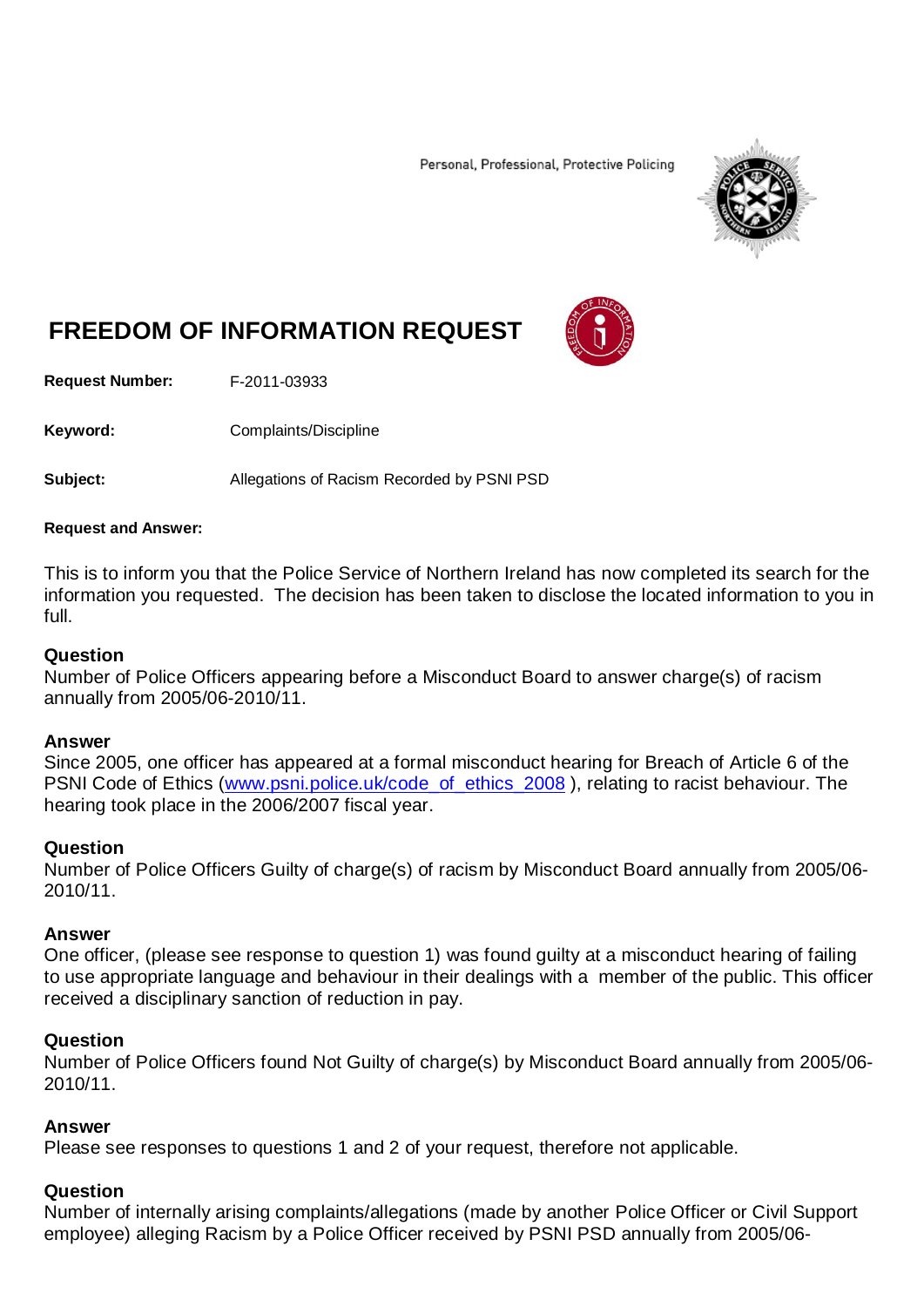Personal, Professional, Protective Policing



# **FREEDOM OF INFORMATION REQUEST**

**Request Number:** F-2011-03933

Keyword: Complaints/Discipline

**Subject:** Allegations of Racism Recorded by PSNI PSD

#### **Request and Answer:**

This is to inform you that the Police Service of Northern Ireland has now completed its search for the information you requested. The decision has been taken to disclose the located information to you in full.

#### **Question**

Number of Police Officers appearing before a Misconduct Board to answer charge(s) of racism annually from 2005/06-2010/11.

#### **Answer**

Since 2005, one officer has appeared at a formal misconduct hearing for Breach of Article 6 of the PSNI Code of Ethics [\(www.psni.police.uk/code\\_of\\_ethics\\_2008](http://www.psni.police.uk/code_of_ethics_2008)), relating to racist behaviour. The hearing took place in the 2006/2007 fiscal year.

# **Question**

Number of Police Officers Guilty of charge(s) of racism by Misconduct Board annually from 2005/06- 2010/11.

## **Answer**

One officer, (please see response to question 1) was found guilty at a misconduct hearing of failing to use appropriate language and behaviour in their dealings with a member of the public. This officer received a disciplinary sanction of reduction in pay.

## **Question**

Number of Police Officers found Not Guilty of charge(s) by Misconduct Board annually from 2005/06- 2010/11.

## **Answer**

Please see responses to questions 1 and 2 of your request, therefore not applicable.

# **Question**

Number of internally arising complaints/allegations (made by another Police Officer or Civil Support employee) alleging Racism by a Police Officer received by PSNI PSD annually from 2005/06-